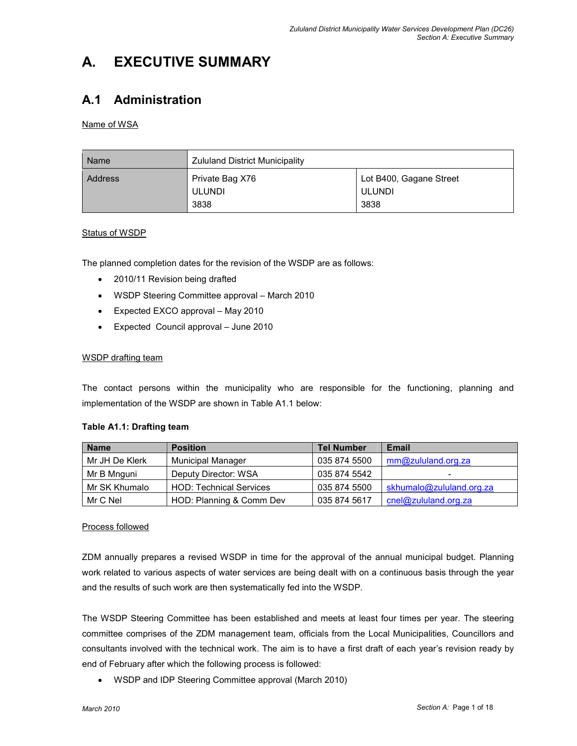# A. EXECUTIVE SUMMARY

# A.1 Administration

## Name of WSA

| Name           | <b>Zululand District Municipality</b>    |                                           |  |
|----------------|------------------------------------------|-------------------------------------------|--|
| <b>Address</b> | Private Bag X76<br><b>ULUNDI</b><br>3838 | Lot B400, Gagane Street<br>ULUNDI<br>3838 |  |

### Status of WSDP

The planned completion dates for the revision of the WSDP are as follows:

- 2010/11 Revision being drafted
- WSDP Steering Committee approval March 2010
- Expected EXCO approval May 2010
- Expected Council approval June 2010

### WSDP drafting team

The contact persons within the municipality who are responsible for the functioning, planning and implementation of the WSDP are shown in Table A1.1 below:

| <b>Name</b>    | <b>Position</b>                | <b>Tel Number</b> | <b>Email</b>             |
|----------------|--------------------------------|-------------------|--------------------------|
| Mr JH De Klerk | <b>Municipal Manager</b>       | 035 874 5500      | mm@zululand.org.za       |
| Mr B Mnguni    | Deputy Director: WSA           | 035 874 5542      | $\overline{\phantom{0}}$ |
| Mr SK Khumalo  | <b>HOD: Technical Services</b> | 035 874 5500      | skhumalo@zululand.org.za |
| Mr C Nel       | HOD: Planning & Comm Dev       | 035 874 5617      | cnel@zululand.org.za     |

### Table A1.1: Drafting team

### Process followed

ZDM annually prepares a revised WSDP in time for the approval of the annual municipal budget. Planning work related to various aspects of water services are being dealt with on a continuous basis through the year and the results of such work are then systematically fed into the WSDP.

The WSDP Steering Committee has been established and meets at least four times per year. The steering committee comprises of the ZDM management team, officials from the Local Municipalities, Councillors and consultants involved with the technical work. The aim is to have a first draft of each year's revision ready by end of February after which the following process is followed:

• WSDP and IDP Steering Committee approval (March 2010)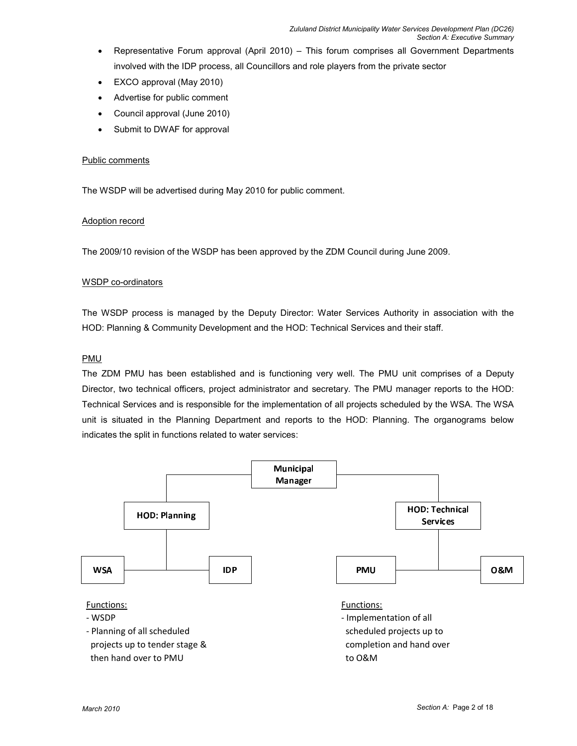- Representative Forum approval (April 2010) This forum comprises all Government Departments involved with the IDP process, all Councillors and role players from the private sector
- EXCO approval (May 2010)
- Advertise for public comment
- Council approval (June 2010)
- Submit to DWAF for approval

#### Public comments

The WSDP will be advertised during May 2010 for public comment.

#### Adoption record

The 2009/10 revision of the WSDP has been approved by the ZDM Council during June 2009.

#### WSDP co-ordinators

The WSDP process is managed by the Deputy Director: Water Services Authority in association with the HOD: Planning & Community Development and the HOD: Technical Services and their staff.

#### PMU

The ZDM PMU has been established and is functioning very well. The PMU unit comprises of a Deputy Director, two technical officers, project administrator and secretary. The PMU manager reports to the HOD: Technical Services and is responsible for the implementation of all projects scheduled by the WSA. The WSA unit is situated in the Planning Department and reports to the HOD: Planning. The organograms below indicates the split in functions related to water services:

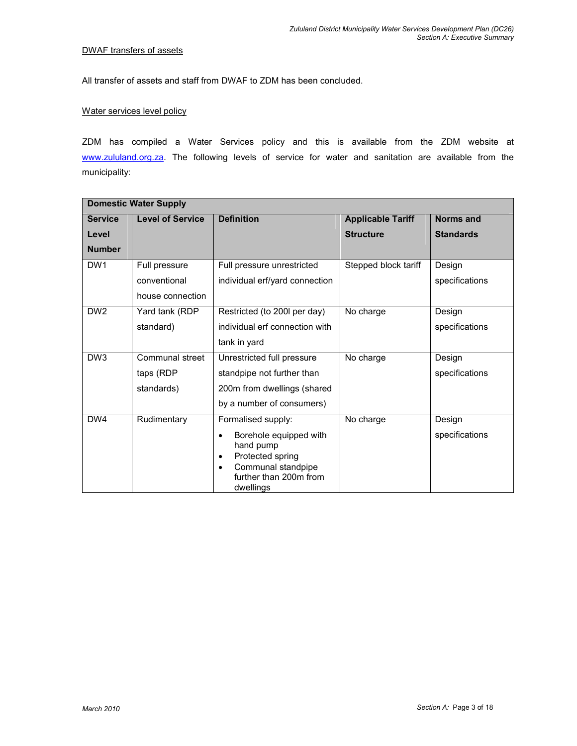#### DWAF transfers of assets

All transfer of assets and staff from DWAF to ZDM has been concluded.

#### Water services level policy

ZDM has compiled a Water Services policy and this is available from the ZDM website at www.zululand.org.za. The following levels of service for water and sanitation are available from the municipality:

|                 | <b>Domestic Water Supply</b> |                                                                                                                                                             |                          |                  |
|-----------------|------------------------------|-------------------------------------------------------------------------------------------------------------------------------------------------------------|--------------------------|------------------|
| <b>Service</b>  | <b>Level of Service</b>      | <b>Definition</b>                                                                                                                                           | <b>Applicable Tariff</b> | <b>Norms and</b> |
| Level           |                              |                                                                                                                                                             | <b>Structure</b>         | <b>Standards</b> |
| <b>Number</b>   |                              |                                                                                                                                                             |                          |                  |
| DW <sub>1</sub> | Full pressure                | Full pressure unrestricted                                                                                                                                  | Stepped block tariff     | Design           |
|                 | conventional                 | individual erf/yard connection                                                                                                                              |                          | specifications   |
|                 | house connection             |                                                                                                                                                             |                          |                  |
| DW <sub>2</sub> | Yard tank (RDP               | Restricted (to 200 per day)                                                                                                                                 | No charge                | Design           |
|                 | standard)                    | individual erf connection with                                                                                                                              |                          | specifications   |
|                 |                              | tank in yard                                                                                                                                                |                          |                  |
| DW <sub>3</sub> | Communal street              | Unrestricted full pressure                                                                                                                                  | No charge                | Design           |
|                 | taps (RDP                    | standpipe not further than                                                                                                                                  |                          | specifications   |
|                 | standards)                   | 200m from dwellings (shared                                                                                                                                 |                          |                  |
|                 |                              | by a number of consumers)                                                                                                                                   |                          |                  |
| DW4             | Rudimentary                  | Formalised supply:                                                                                                                                          | No charge                | Design           |
|                 |                              | Borehole equipped with<br>$\bullet$<br>hand pump<br>Protected spring<br>$\bullet$<br>Communal standpipe<br>$\bullet$<br>further than 200m from<br>dwellings |                          | specifications   |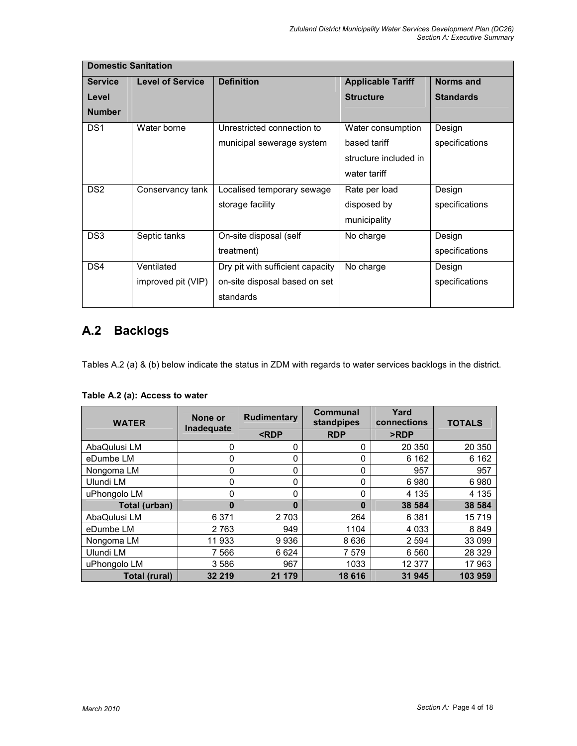|                 | <b>Domestic Sanitation</b> |                                  |                          |                  |  |  |
|-----------------|----------------------------|----------------------------------|--------------------------|------------------|--|--|
| <b>Service</b>  | <b>Level of Service</b>    | <b>Definition</b>                | <b>Applicable Tariff</b> | Norms and        |  |  |
| Level           |                            |                                  | <b>Structure</b>         | <b>Standards</b> |  |  |
| <b>Number</b>   |                            |                                  |                          |                  |  |  |
| DS <sub>1</sub> | Water borne                | Unrestricted connection to       | Water consumption        | Design           |  |  |
|                 |                            | municipal sewerage system        | based tariff             | specifications   |  |  |
|                 |                            |                                  | structure included in    |                  |  |  |
|                 |                            |                                  | water tariff             |                  |  |  |
| DS <sub>2</sub> | Conservancy tank           | Localised temporary sewage       | Rate per load            | Design           |  |  |
|                 |                            | storage facility                 | disposed by              | specifications   |  |  |
|                 |                            |                                  | municipality             |                  |  |  |
| DS <sub>3</sub> | Septic tanks               | On-site disposal (self           | No charge                | Design           |  |  |
|                 |                            | treatment)                       |                          | specifications   |  |  |
| DS4             | Ventilated                 | Dry pit with sufficient capacity | No charge                | Design           |  |  |
|                 | improved pit (VIP)         | on-site disposal based on set    |                          | specifications   |  |  |
|                 |                            | standards                        |                          |                  |  |  |

# A.2 Backlogs

Tables A.2 (a) & (b) below indicate the status in ZDM with regards to water services backlogs in the district.

| <b>WATER</b>  | None or<br>Inadequate | <b>Rudimentary</b>                                              | <b>Communal</b><br>standpipes | Yard<br>connections | <b>TOTALS</b> |
|---------------|-----------------------|-----------------------------------------------------------------|-------------------------------|---------------------|---------------|
|               |                       | <rdp< th=""><th><b>RDP</b></th><th>&gt;RDP</th><th></th></rdp<> | <b>RDP</b>                    | >RDP                |               |
| AbaQulusi LM  | 0                     | 0                                                               | 0                             | 20 350              | 20 350        |
| eDumbe LM     | 0                     | 0                                                               | 0                             | 6 1 6 2             | 6 1 6 2       |
| Nongoma LM    | 0                     | 0                                                               | 0                             | 957                 | 957           |
| Ulundi LM     | 0                     | 0                                                               | 0                             | 6980                | 6980          |
| uPhongolo LM  | 0                     | 0                                                               | 0                             | 4 1 3 5             | 4 1 3 5       |
| Total (urban) | $\bf{0}$              | 0                                                               | 0                             | 38 584              | 38 584        |
| AbaQulusi LM  | 6 3 7 1               | 2 7 0 3                                                         | 264                           | 6 3 8 1             | 15719         |
| eDumbe LM     | 2 7 6 3               | 949                                                             | 1104                          | 4 0 3 3             | 8849          |
| Nongoma LM    | 11 933                | 9936                                                            | 8636                          | 2 5 9 4             | 33 099        |
| Ulundi LM     | 7 566                 | 6624                                                            | 7579                          | 6 5 6 0             | 28 3 29       |
| uPhongolo LM  | 3586                  | 967                                                             | 1033                          | 12 377              | 17 963        |
| Total (rural) | 32 219                | 21 179                                                          | 18 616                        | 31 945              | 103 959       |

## Table A.2 (a): Access to water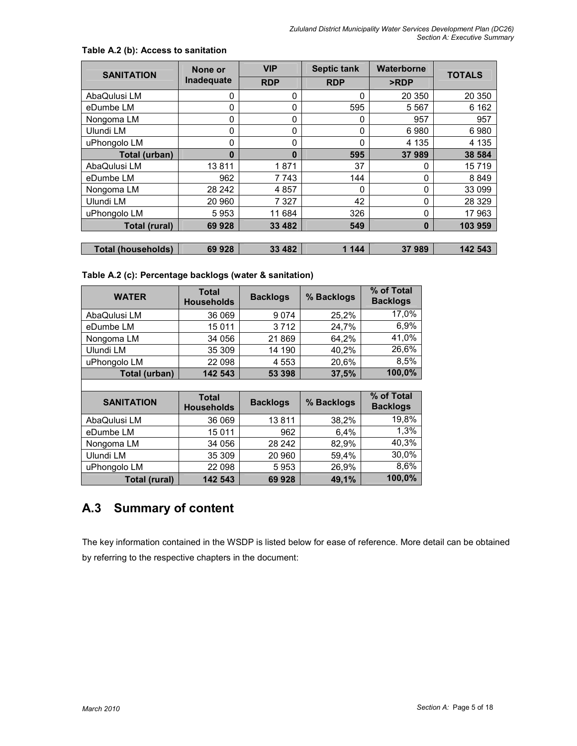| <b>SANITATION</b>         | None or    | <b>VIP</b> | <b>Septic tank</b> | <b>Waterborne</b> | <b>TOTALS</b> |
|---------------------------|------------|------------|--------------------|-------------------|---------------|
|                           | Inadequate | <b>RDP</b> | <b>RDP</b>         | >RDP              |               |
| AbaQulusi LM              | 0          | 0          | 0                  | 20 350            | 20 350        |
| eDumbe LM                 | 0          | 0          | 595                | 5 5 6 7           | 6 1 6 2       |
| Nongoma LM                | 0          | 0          | 0                  | 957               | 957           |
| Ulundi LM                 | 0          | 0          | 0                  | 6980              | 6980          |
| uPhongolo LM              | 0          | 0          | 0                  | 4 1 3 5           | 4 1 3 5       |
| Total (urban)             | 0          | $\bf{0}$   | 595                | 37989             | 38 584        |
| AbaQulusi LM              | 13811      | 1871       | 37                 | 0                 | 15719         |
| eDumbe LM                 | 962        | 7743       | 144                | 0                 | 8849          |
| Nongoma LM                | 28 24 2    | 4857       | 0                  | 0                 | 33 099        |
| Ulundi LM                 | 20 960     | 7 3 2 7    | 42                 | 0                 | 28 3 29       |
| uPhongolo LM              | 5953       | 11 684     | 326                | 0                 | 17 963        |
| <b>Total (rural)</b>      | 69 928     | 33 4 82    | 549                | $\bf{0}$          | 103 959       |
|                           |            |            |                    |                   |               |
| <b>Total (households)</b> | 69 928     | 33 4 8 2   | 1 1 4 4            | 37989             | 142 543       |

## Table A.2 (b): Access to sanitation

## Table A.2 (c): Percentage backlogs (water & sanitation)

| <b>WATER</b>  | <b>Total</b><br><b>Households</b> | <b>Backlogs</b> | % Backlogs | % of Total<br><b>Backlogs</b> |
|---------------|-----------------------------------|-----------------|------------|-------------------------------|
| AbaQulusi LM  | 36 069                            | 9074            | 25.2%      | 17,0%                         |
| eDumbe LM     | 15011                             | 3712            | 24,7%      | 6,9%                          |
| Nongoma LM    | 34 056                            | 21869           | 64,2%      | 41,0%                         |
| Ulundi LM     | 35 309                            | 14 190          | 40,2%      | 26,6%                         |
| uPhongolo LM  | 22 098                            | 4553            | 20,6%      | 8,5%                          |
| Total (urban) | 142 543                           | 53 398          | 37,5%      | 100,0%                        |
|               |                                   |                 |            |                               |

| <b>SANITATION</b> | <b>Total</b><br><b>Households</b> | <b>Backlogs</b> | % Backlogs | % of Total<br><b>Backlogs</b> |
|-------------------|-----------------------------------|-----------------|------------|-------------------------------|
| AbaQulusi LM      | 36 069                            | 13811           | 38.2%      | 19,8%                         |
| eDumbe LM         | 15 0 11                           | 962             | 6.4%       | 1,3%                          |
| Nongoma LM        | 34 056                            | 28 24 2         | 82,9%      | 40,3%                         |
| Ulundi LM         | 35 309                            | 20 960          | 59.4%      | 30,0%                         |
| uPhongolo LM      | 22 098                            | 5953            | 26,9%      | 8,6%                          |
| Total (rural)     | 142 543                           | 69928           | 49,1%      | 100,0%                        |

# A.3 Summary of content

The key information contained in the WSDP is listed below for ease of reference. More detail can be obtained by referring to the respective chapters in the document: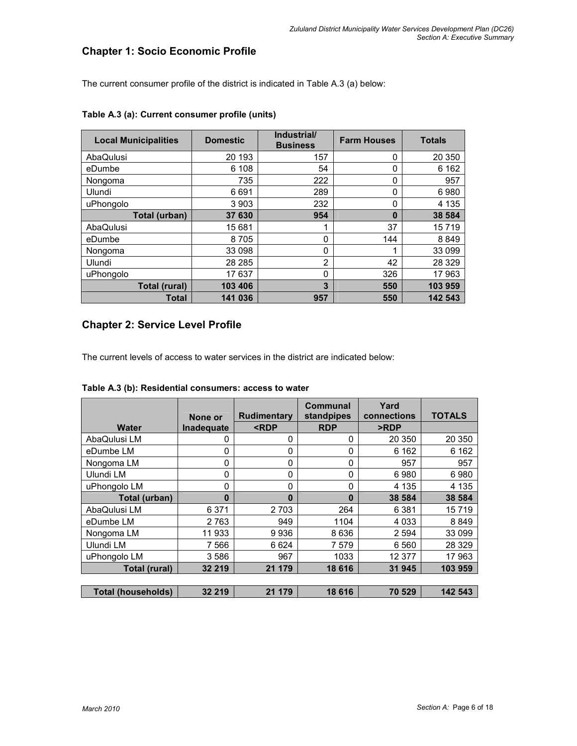## Chapter 1: Socio Economic Profile

The current consumer profile of the district is indicated in Table A.3 (a) below:

| <b>Local Municipalities</b> | <b>Domestic</b> | Industrial/<br><b>Business</b> | <b>Farm Houses</b> | <b>Totals</b> |
|-----------------------------|-----------------|--------------------------------|--------------------|---------------|
| AbaQulusi                   | 20 193          | 157                            | 0                  | 20 350        |
| eDumbe                      | 6 108           | 54                             | 0                  | 6 1 6 2       |
| Nongoma                     | 735             | 222                            | $\Omega$           | 957           |
| Ulundi                      | 6691            | 289                            | $\Omega$           | 6980          |
| uPhongolo                   | 3 9 0 3         | 232                            | 0                  | 4 1 3 5       |
| Total (urban)               | 37 630          | 954                            | 0                  | 38 584        |
| AbaQulusi                   | 15681           | ◢                              | 37                 | 15719         |
| eDumbe                      | 8705            | 0                              | 144                | 8849          |
| Nongoma                     | 33 098          | 0                              |                    | 33 099        |
| Ulundi                      | 28 28 5         | 2                              | 42                 | 28 3 29       |
| uPhongolo                   | 17637           | 0                              | 326                | 17963         |
| Total (rural)               | 103 406         | 3                              | 550                | 103 959       |
| Total                       | 141 036         | 957                            | 550                | 142 543       |

## Table A.3 (a): Current consumer profile (units)

# Chapter 2: Service Level Profile

The current levels of access to water services in the district are indicated below:

|                           | None or    | <b>Rudimentary</b>                                              | <b>Communal</b><br>standpipes | Yard<br>connections | <b>TOTALS</b> |
|---------------------------|------------|-----------------------------------------------------------------|-------------------------------|---------------------|---------------|
| Water                     | Inadequate | <rdp< th=""><th><b>RDP</b></th><th>&gt;RDP</th><th></th></rdp<> | <b>RDP</b>                    | >RDP                |               |
| AbaQulusi LM              | 0          | 0                                                               | 0                             | 20 350              | 20 350        |
| eDumbe LM                 | 0          | 0                                                               | 0                             | 6 1 6 2             | 6 1 6 2       |
| Nongoma LM                | 0          | 0                                                               | 0                             | 957                 | 957           |
| Ulundi LM                 | 0          | 0                                                               | $\Omega$                      | 6980                | 6980          |
| uPhongolo LM              | 0          | 0                                                               | 0                             | 4 1 3 5             | 4 1 3 5       |
| Total (urban)             | 0          | 0                                                               | $\bf{0}$                      | 38 584              | 38 584        |
| AbaQulusi LM              | 6 3 7 1    | 2 7 0 3                                                         | 264                           | 6 3 8 1             | 15719         |
| eDumbe LM                 | 2 7 6 3    | 949                                                             | 1104                          | 4 0 3 3             | 8849          |
| Nongoma LM                | 11 933     | 9936                                                            | 8 6 3 6                       | 2 5 9 4             | 33 099        |
| Ulundi LM                 | 7 5 6 6    | 6 6 2 4                                                         | 7579                          | 6 5 6 0             | 28 3 29       |
| uPhongolo LM              | 3586       | 967                                                             | 1033                          | 12 377              | 17963         |
| Total (rural)             | 32 219     | 21 179                                                          | 18 616                        | 31 945              | 103 959       |
|                           |            |                                                                 |                               |                     |               |
| <b>Total (households)</b> | 32 219     | 21 179                                                          | 18 616                        | 70 529              | 142 543       |

#### Table A.3 (b): Residential consumers: access to water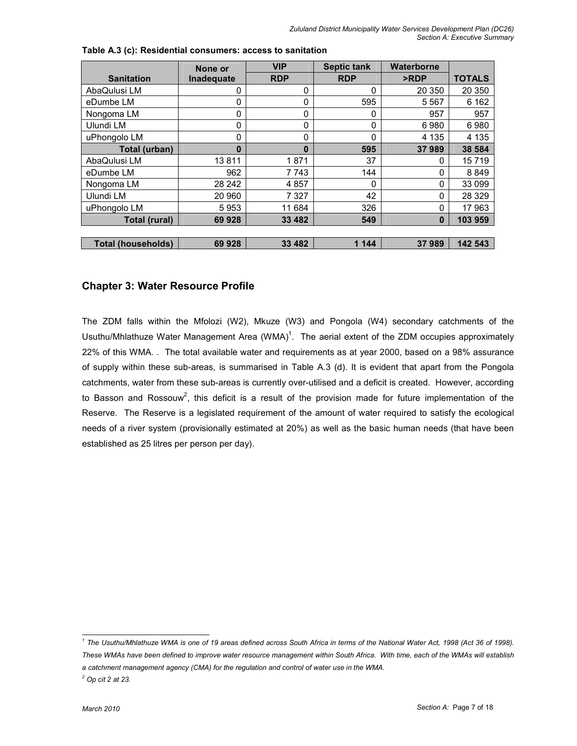|                           | None or    | <b>VIP</b>  | <b>Septic tank</b> | Waterborne |               |
|---------------------------|------------|-------------|--------------------|------------|---------------|
| <b>Sanitation</b>         | Inadequate | <b>RDP</b>  | <b>RDP</b>         | >RDP       | <b>TOTALS</b> |
| AbaQulusi LM              | 0          | 0           | 0                  | 20 350     | 20 350        |
| eDumbe LM                 | 0          | 0           | 595                | 5 5 6 7    | 6 1 6 2       |
| Nongoma LM                | 0          | 0           | 0                  | 957        | 957           |
| Ulundi LM                 | 0          | 0           | 0                  | 6980       | 6980          |
| uPhongolo LM              | 0          | $\mathbf 0$ | $\Omega$           | 4 1 3 5    | 4 1 3 5       |
| Total (urban)             | 0          | $\bf{0}$    | 595                | 37989      | 38 584        |
| AbaQulusi LM              | 13811      | 1871        | 37                 | 0          | 15719         |
| eDumbe LM                 | 962        | 7 743       | 144                | 0          | 8849          |
| Nongoma LM                | 28 24 2    | 4 8 5 7     | 0                  | 0          | 33 099        |
| Ulundi LM                 | 20 960     | 7 3 2 7     | 42                 | 0          | 28 3 29       |
| uPhongolo LM              | 5953       | 11 684      | 326                | 0          | 17 963        |
| Total (rural)             | 69 928     | 33 482      | 549                | 0          | 103 959       |
|                           |            |             |                    |            |               |
| <b>Total (households)</b> | 69 928     | 33 482      | 1 1 4 4            | 37989      | 142 543       |

| Table A.3 (c): Residential consumers: access to sanitation |  |  |  |
|------------------------------------------------------------|--|--|--|
|------------------------------------------------------------|--|--|--|

## Chapter 3: Water Resource Profile

The ZDM falls within the Mfolozi (W2), Mkuze (W3) and Pongola (W4) secondary catchments of the Usuthu/Mhlathuze Water Management Area (WMA)<sup>1</sup>. The aerial extent of the ZDM occupies approximately 22% of this WMA. . The total available water and requirements as at year 2000, based on a 98% assurance of supply within these sub-areas, is summarised in Table A.3 (d). It is evident that apart from the Pongola catchments, water from these sub-areas is currently over-utilised and a deficit is created. However, according to Basson and Rossouw<sup>2</sup>, this deficit is a result of the provision made for future implementation of the Reserve. The Reserve is a legislated requirement of the amount of water required to satisfy the ecological needs of a river system (provisionally estimated at 20%) as well as the basic human needs (that have been established as 25 litres per person per day).

 1 The Usuthu/Mhlathuze WMA is one of 19 areas defined across South Africa in terms of the National Water Act, 1998 (Act 36 of 1998). These WMAs have been defined to improve water resource management within South Africa. With time, each of the WMAs will establish a catchment management agency (CMA) for the regulation and control of water use in the WMA.

 $^2$  Op cit 2 at 23.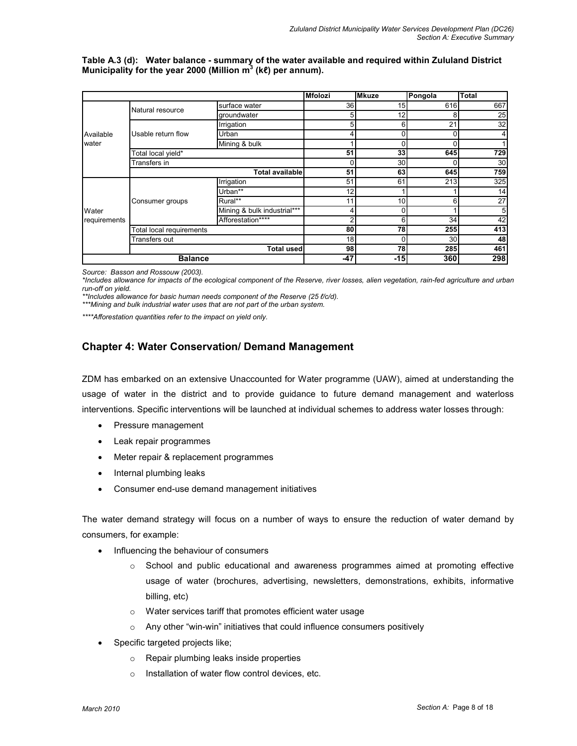Table A.3 (d): Water balance - summary of the water available and required within Zululand District Municipality for the year 2000 (Million m<sup>3</sup> (kℓ) per annum).

|                    |                          |                             | <b>Mfolozi</b> | <b>Mkuze</b>    | Pongola         | Total |
|--------------------|--------------------------|-----------------------------|----------------|-----------------|-----------------|-------|
|                    | Natural resource         | surface water               | 36             | 15              | 616             | 667   |
|                    |                          | groundwater                 |                | 12 <sub>1</sub> | 8               | 25    |
|                    |                          | Irrigation                  |                | 6               | 21              | 32    |
| Available<br>water | Usable return flow       | Urban                       |                | $\Omega$        | $\Omega$        |       |
|                    |                          | Mining & bulk               |                | $\mathbf 0$     | $\Omega$        |       |
|                    | Total local yield*       |                             | 51             | 33              | 645             | 729   |
|                    | Transfers in             |                             |                | 30              |                 | 30    |
|                    |                          | <b>Total available</b>      | 51             | 63              | 645             | 759   |
|                    |                          | Irrigation                  | 51             | 61              | 213             | 325   |
|                    | Consumer groups          | Urban**                     | 12             |                 |                 | 14    |
|                    |                          | $Rural***$                  | 11             | 10              | 61              | 27    |
| Water              |                          | Mining & bulk industrial*** |                | 0               |                 | 5     |
| requirements       |                          | Afforestation****           |                | 6               | 34              | 42    |
|                    | Total local requirements |                             | 80             | 78              | 255             | 413   |
|                    | Transfers out            |                             | 18             | 0               | 30 <sup>1</sup> | 48    |
|                    |                          | <b>Total used</b>           | 98             | 78              | 285             | 461   |
|                    | <b>Balance</b>           |                             |                | $-15$           | 360             | 298   |

Source: Basson and Rossouw (2003).

\*Includes allowance for impacts of the ecological component of the Reserve, river losses, alien vegetation, rain-fed agriculture and urban run-off on yield.

\*\*Includes allowance for basic human needs component of the Reserve (25 ℓ/c/d).

\*\*\*Mining and bulk industrial water uses that are not part of the urban system.

\*\*\*\*Afforestation quantities refer to the impact on yield only.

## Chapter 4: Water Conservation/ Demand Management

ZDM has embarked on an extensive Unaccounted for Water programme (UAW), aimed at understanding the usage of water in the district and to provide guidance to future demand management and waterloss interventions. Specific interventions will be launched at individual schemes to address water losses through:

- Pressure management
- Leak repair programmes
- Meter repair & replacement programmes
- Internal plumbing leaks
- Consumer end-use demand management initiatives

The water demand strategy will focus on a number of ways to ensure the reduction of water demand by consumers, for example:

- Influencing the behaviour of consumers
	- $\circ$  School and public educational and awareness programmes aimed at promoting effective usage of water (brochures, advertising, newsletters, demonstrations, exhibits, informative billing, etc)
	- o Water services tariff that promotes efficient water usage
	- o Any other "win-win" initiatives that could influence consumers positively
- Specific targeted projects like;
	- o Repair plumbing leaks inside properties
	- o Installation of water flow control devices, etc.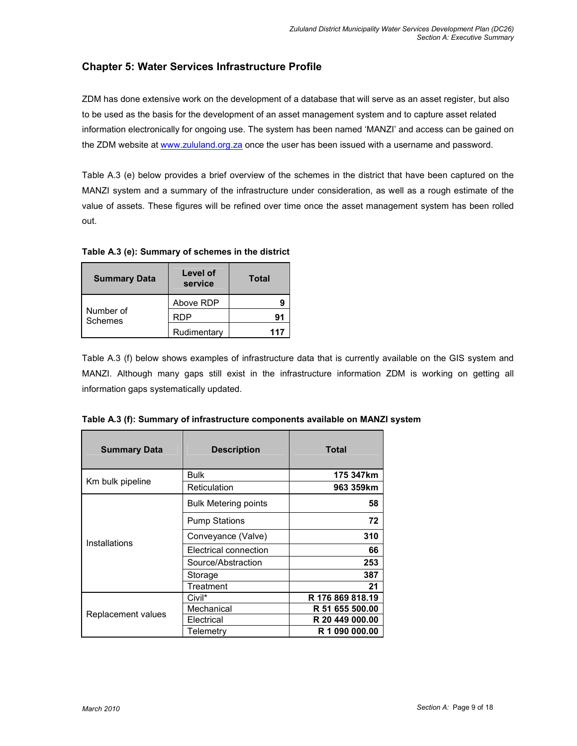# Chapter 5: Water Services Infrastructure Profile

ZDM has done extensive work on the development of a database that will serve as an asset register, but also to be used as the basis for the development of an asset management system and to capture asset related information electronically for ongoing use. The system has been named 'MANZI' and access can be gained on the ZDM website at www.zululand.org.za once the user has been issued with a username and password.

Table A.3 (e) below provides a brief overview of the schemes in the district that have been captured on the MANZI system and a summary of the infrastructure under consideration, as well as a rough estimate of the value of assets. These figures will be refined over time once the asset management system has been rolled out.

Table A.3 (e): Summary of schemes in the district

| <b>Summary Data</b>  | Level of<br>service | Total |
|----------------------|---------------------|-------|
|                      | Above RDP           |       |
| Number of<br>Schemes | RDP                 | g,    |
|                      | Rudimentary         | 117   |

Table A.3 (f) below shows examples of infrastructure data that is currently available on the GIS system and MANZI. Although many gaps still exist in the infrastructure information ZDM is working on getting all information gaps systematically updated.

| Table A.3 (f): Summary of infrastructure components available on MANZI system |
|-------------------------------------------------------------------------------|
|-------------------------------------------------------------------------------|

| <b>Summary Data</b> | <b>Description</b>          | Total            |
|---------------------|-----------------------------|------------------|
|                     | <b>Bulk</b>                 | 175 347km        |
| Km bulk pipeline    | Reticulation                | 963 359km        |
|                     | <b>Bulk Metering points</b> | 58               |
|                     | <b>Pump Stations</b>        | 72               |
| Installations       | Conveyance (Valve)          | 310              |
|                     | Electrical connection       | 66               |
|                     | Source/Abstraction          | 253              |
|                     | Storage                     | 387              |
|                     | Treatment                   | 21               |
|                     | Civil*                      | R 176 869 818.19 |
|                     | Mechanical                  | R 51 655 500.00  |
| Replacement values  | Electrical                  | R 20 449 000.00  |
|                     | Telemetry                   | R 1 090 000.00   |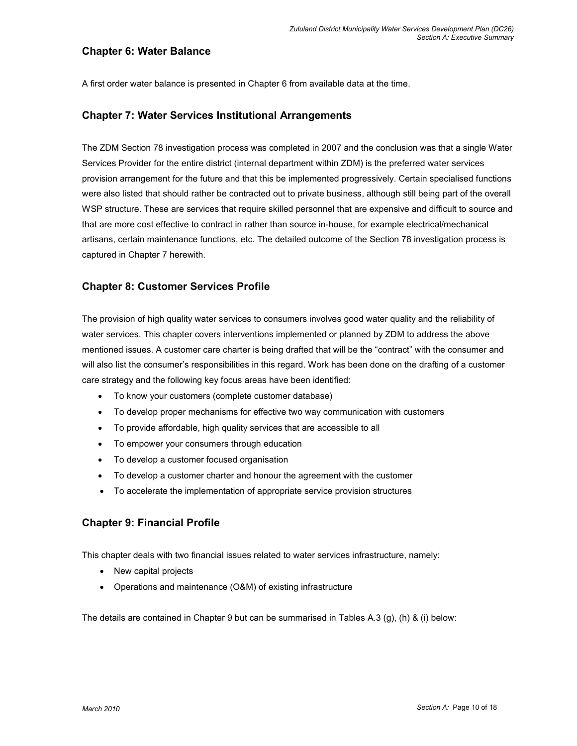## Chapter 6: Water Balance

A first order water balance is presented in Chapter 6 from available data at the time.

## Chapter 7: Water Services Institutional Arrangements

The ZDM Section 78 investigation process was completed in 2007 and the conclusion was that a single Water Services Provider for the entire district (internal department within ZDM) is the preferred water services provision arrangement for the future and that this be implemented progressively. Certain specialised functions were also listed that should rather be contracted out to private business, although still being part of the overall WSP structure. These are services that require skilled personnel that are expensive and difficult to source and that are more cost effective to contract in rather than source in-house, for example electrical/mechanical artisans, certain maintenance functions, etc. The detailed outcome of the Section 78 investigation process is captured in Chapter 7 herewith.

## Chapter 8: Customer Services Profile

The provision of high quality water services to consumers involves good water quality and the reliability of water services. This chapter covers interventions implemented or planned by ZDM to address the above mentioned issues. A customer care charter is being drafted that will be the "contract" with the consumer and will also list the consumer's responsibilities in this regard. Work has been done on the drafting of a customer care strategy and the following key focus areas have been identified:

- To know your customers (complete customer database)
- To develop proper mechanisms for effective two way communication with customers
- To provide affordable, high quality services that are accessible to all
- To empower your consumers through education
- To develop a customer focused organisation
- To develop a customer charter and honour the agreement with the customer
- To accelerate the implementation of appropriate service provision structures

## Chapter 9: Financial Profile

This chapter deals with two financial issues related to water services infrastructure, namely:

- New capital projects
- Operations and maintenance (O&M) of existing infrastructure

The details are contained in Chapter 9 but can be summarised in Tables A.3 (g), (h) & (i) below: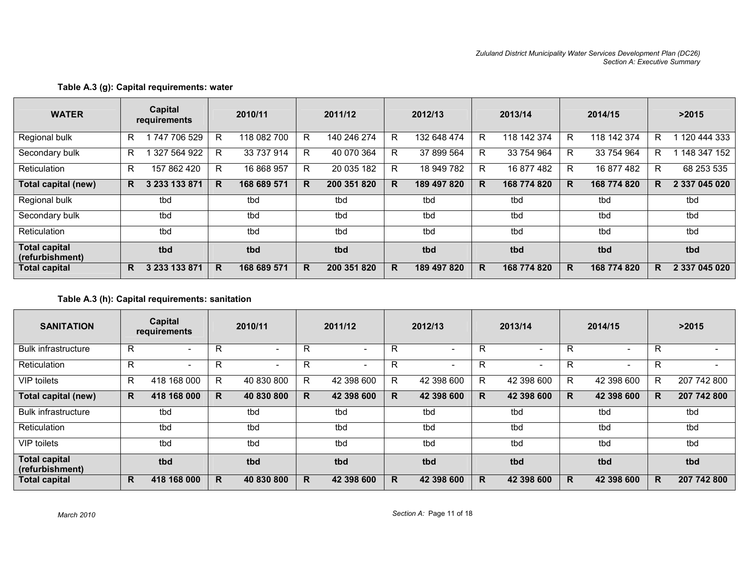| <b>WATER</b>                            |    | Capital<br>requirements |    | 2010/11     |    | 2011/12     |    | 2012/13     |   | 2013/14     |   | 2014/15     |    | >2015         |
|-----------------------------------------|----|-------------------------|----|-------------|----|-------------|----|-------------|---|-------------|---|-------------|----|---------------|
| Regional bulk                           | R  | 747 706 529             | R. | 118 082 700 | R. | 140 246 274 | R  | 132 648 474 | R | 118 142 374 | R | 118 142 374 | R. | 1 120 444 333 |
| Secondary bulk                          | R  | 327 564 922             | R  | 33 737 914  | R. | 40 070 364  | R  | 37 899 564  | R | 33 754 964  | R | 33 754 964  | R. | 148 347 152   |
| Reticulation                            | R. | 157 862 420             | R. | 16 868 957  | R  | 20 035 182  | R  | 18 949 782  | R | 16 877 482  | R | 16 877 482  | R. | 68 253 535    |
| Total capital (new)                     | R. | 3 233 133 871           | R. | 168 689 571 | R. | 200 351 820 | R. | 189 497 820 | R | 168 774 820 | R | 168 774 820 | R. | 2 337 045 020 |
| Regional bulk                           |    | tbd                     |    | tbd         |    | tbd         |    | tbd         |   | tbd         |   | tbd         |    | tbd           |
| Secondary bulk                          |    | tbd                     |    | tbd         |    | tbd         |    | tbd         |   | tbd         |   | tbd         |    | tbd           |
| Reticulation                            |    | tbd                     |    | tbd         |    | tbd         |    | tbd         |   | tbd         |   | tbd         |    | tbd           |
| <b>Total capital</b><br>(refurbishment) |    | tbd                     |    | tbd         |    | tbd         |    | tbd         |   | tbd         |   | tbd         |    | tbd           |
| <b>Total capital</b>                    | R. | 3 233 133 871           | R. | 168 689 571 | R  | 200 351 820 | R  | 189 497 820 | R | 168 774 820 | R | 168 774 820 | R  | 2 337 045 020 |

## Table A.3 (g): Capital requirements: water

## Table A.3 (h): Capital requirements: sanitation

| <b>SANITATION</b>                       |    | Capital<br>requirements  |   | 2010/11                  |              | 2011/12                  |   | 2012/13                  |   | 2013/14                  |   | 2014/15                  |    | >2015       |
|-----------------------------------------|----|--------------------------|---|--------------------------|--------------|--------------------------|---|--------------------------|---|--------------------------|---|--------------------------|----|-------------|
| <b>Bulk infrastructure</b>              | R. | $\overline{\phantom{0}}$ | R | $\overline{\phantom{0}}$ | R            | $\overline{\phantom{a}}$ | R | $\overline{\phantom{a}}$ | R | $\overline{\phantom{0}}$ | R | $\overline{\phantom{0}}$ | R  |             |
| Reticulation                            | R  | $\overline{\phantom{0}}$ | R |                          | R            | $\overline{\phantom{a}}$ | R |                          | R | $\overline{\phantom{a}}$ | R |                          | R  |             |
| VIP toilets                             | R. | 418 168 000              | R | 40 830 800               | $\mathsf{R}$ | 42 398 600               | R | 42 398 600               | R | 42 398 600               | R | 42 398 600               | R. | 207 742 800 |
| Total capital (new)                     | R. | 418 168 000              | R | 40 830 800               | R.           | 42 398 600               | R | 42 398 600               | R | 42 398 600               | R | 42 398 600               | R. | 207 742 800 |
| <b>Bulk infrastructure</b>              |    | tbd                      |   | tbd                      |              | tbd                      |   | tbd                      |   | tbd                      |   | tbd                      |    | tbd         |
| Reticulation                            |    | tbd                      |   | tbd                      |              | tbd                      |   | tbd                      |   | tbd                      |   | tbd                      |    | tbd         |
| <b>VIP</b> toilets                      |    | tbd                      |   | tbd                      |              | tbd                      |   | tbd                      |   | tbd                      |   | tbd                      |    | tbd         |
| <b>Total capital</b><br>(refurbishment) |    | tbd                      |   | tbd                      |              | tbd                      |   | tbd                      |   | tbd                      |   | tbd                      |    | tbd         |
| <b>Total capital</b>                    | R. | 418 168 000              | R | 40 830 800               | R            | 42 398 600               | R | 42 398 600               | R | 42 398 600               | R | 42 398 600               | R  | 207 742 800 |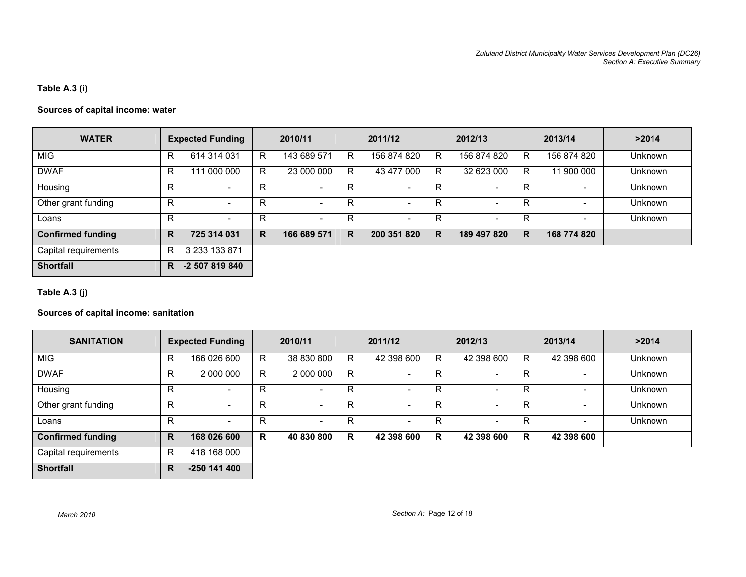## Table A.3 (i)

## Sources of capital income: water

| <b>WATER</b>             |   | <b>Expected Funding</b>  |    | 2010/11                  |    | 2011/12                  |    | 2012/13                  |    | 2013/14     | >2014          |
|--------------------------|---|--------------------------|----|--------------------------|----|--------------------------|----|--------------------------|----|-------------|----------------|
| <b>MIG</b>               | R | 614 314 031              | R  | 143 689 571              | R. | 156 874 820              | R  | 156 874 820              | R. | 156 874 820 | Unknown        |
| <b>DWAF</b>              | R | 111 000 000              | R  | 23 000 000               | R  | 43 477 000               | R. | 32 623 000               | R. | 11 900 000  | <b>Unknown</b> |
| Housing                  | R | $\overline{\phantom{a}}$ | R  | $\overline{\phantom{a}}$ | R  | $\sim$                   | R  | $\overline{\phantom{a}}$ | R  |             | <b>Unknown</b> |
| Other grant funding      | R | $\overline{\phantom{a}}$ | R  | $\overline{\phantom{a}}$ | R  | $\overline{\phantom{a}}$ | R  | $\overline{\phantom{a}}$ | R  |             | <b>Unknown</b> |
| Loans                    | R | $\overline{\phantom{a}}$ | R  | $\overline{\phantom{a}}$ | R  | $\overline{\phantom{a}}$ | R  | $\overline{\phantom{a}}$ | R. |             | <b>Unknown</b> |
| <b>Confirmed funding</b> | R | 725 314 031              | R. | 166 689 571              | R. | 200 351 820              | R. | 189 497 820              | R. | 168 774 820 |                |
| Capital requirements     | R | 3 233 133 871            |    |                          |    |                          |    |                          |    |             |                |
| <b>Shortfall</b>         | R | -2 507 819 840           |    |                          |    |                          |    |                          |    |             |                |

Table A.3 (j)

### Sources of capital income: sanitation

| <b>SANITATION</b>        |   | <b>Expected Funding</b>  |    | 2010/11                  |    | 2011/12                  |    | 2012/13                  |    | 2013/14    | >2014          |
|--------------------------|---|--------------------------|----|--------------------------|----|--------------------------|----|--------------------------|----|------------|----------------|
| <b>MIG</b>               | R | 166 026 600              | R. | 38 830 800               | R. | 42 398 600               | R. | 42 398 600               | R. | 42 398 600 | <b>Unknown</b> |
| <b>DWAF</b>              | R | 2 000 000                | R  | 2 000 000                | R  | $\overline{\phantom{0}}$ | R  | $\overline{\phantom{0}}$ | R  |            | Unknown        |
| Housing                  | R | $\overline{\phantom{0}}$ | R  |                          | R  |                          | R  | $\overline{\phantom{0}}$ | R  |            | <b>Unknown</b> |
| Other grant funding      | R | ۰.                       | R  | $\sim$                   | R  | $\overline{\phantom{0}}$ | R  | $\overline{\phantom{a}}$ | R  |            | Unknown        |
| Loans                    | R | -                        | R  | $\overline{\phantom{a}}$ | R  | $\overline{\phantom{0}}$ | R  | $\overline{\phantom{0}}$ | R  |            | <b>Unknown</b> |
| <b>Confirmed funding</b> | R | 168 026 600              | R  | 40 830 800               | R  | 42 398 600               | R  | 42 398 600               | R. | 42 398 600 |                |
| Capital requirements     | R | 418 168 000              |    |                          |    |                          |    |                          |    |            |                |
| <b>Shortfall</b>         | R | $-250$ 141 400           |    |                          |    |                          |    |                          |    |            |                |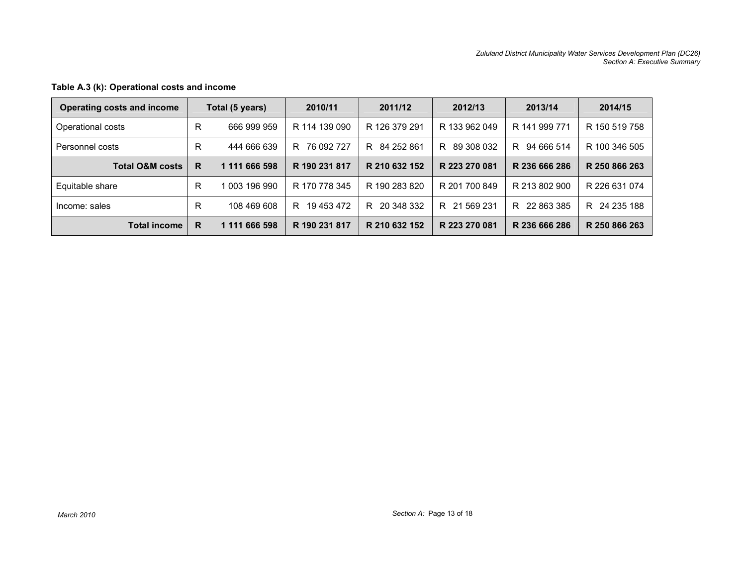| Operating costs and income |   | Total (5 years) | 2010/11       | 2011/12       | 2012/13       | 2013/14          | 2014/15          |
|----------------------------|---|-----------------|---------------|---------------|---------------|------------------|------------------|
| Operational costs          | R | 666 999 959     | R 114 139 090 | R 126 379 291 | R 133 962 049 | R 141 999 771    | R 150 519 758    |
| Personnel costs            | R | 444 666 639     | R 76 092 727  | R 84 252 861  | R 89 308 032  | 94 666 514<br>R. | R 100 346 505    |
| <b>Total O&amp;M costs</b> | R | 1 111 666 598   | R 190 231 817 | R 210 632 152 | R 223 270 081 | R 236 666 286    | R 250 866 263    |
| Equitable share            | R | 003 196 990     | R 170 778 345 | R 190 283 820 | R 201 700 849 | R 213 802 900    | R 226 631 074    |
| Income: sales              | R | 108 469 608     | R 19453472    | R 20 348 332  | R 21 569 231  | 22 863 385<br>R  | 24 235 188<br>R. |
| <b>Total income</b>        | R | 1 111 666 598   | R 190 231 817 | R 210 632 152 | R 223 270 081 | R 236 666 286    | R 250 866 263    |

## Table A.3 (k): Operational costs and income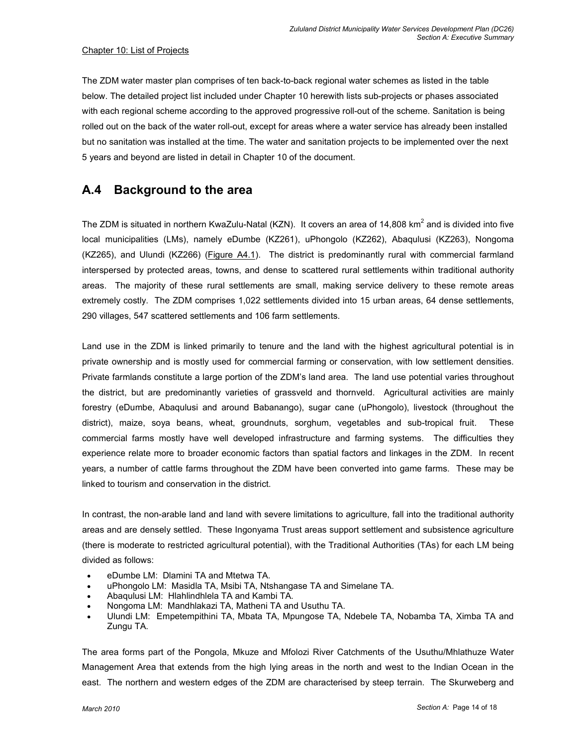### Chapter 10: List of Projects

The ZDM water master plan comprises of ten back-to-back regional water schemes as listed in the table below. The detailed project list included under Chapter 10 herewith lists sub-projects or phases associated with each regional scheme according to the approved progressive roll-out of the scheme. Sanitation is being rolled out on the back of the water roll-out, except for areas where a water service has already been installed but no sanitation was installed at the time. The water and sanitation projects to be implemented over the next 5 years and beyond are listed in detail in Chapter 10 of the document.

# A.4 Background to the area

The ZDM is situated in northern KwaZulu-Natal (KZN). It covers an area of 14,808 km<sup>2</sup> and is divided into five local municipalities (LMs), namely eDumbe (KZ261), uPhongolo (KZ262), Abaqulusi (KZ263), Nongoma (KZ265), and Ulundi (KZ266) (Figure A4.1). The district is predominantly rural with commercial farmland interspersed by protected areas, towns, and dense to scattered rural settlements within traditional authority areas. The majority of these rural settlements are small, making service delivery to these remote areas extremely costly. The ZDM comprises 1,022 settlements divided into 15 urban areas, 64 dense settlements, 290 villages, 547 scattered settlements and 106 farm settlements.

Land use in the ZDM is linked primarily to tenure and the land with the highest agricultural potential is in private ownership and is mostly used for commercial farming or conservation, with low settlement densities. Private farmlands constitute a large portion of the ZDM's land area. The land use potential varies throughout the district, but are predominantly varieties of grassveld and thornveld. Agricultural activities are mainly forestry (eDumbe, Abaqulusi and around Babanango), sugar cane (uPhongolo), livestock (throughout the district), maize, soya beans, wheat, groundnuts, sorghum, vegetables and sub-tropical fruit. These commercial farms mostly have well developed infrastructure and farming systems. The difficulties they experience relate more to broader economic factors than spatial factors and linkages in the ZDM. In recent years, a number of cattle farms throughout the ZDM have been converted into game farms. These may be linked to tourism and conservation in the district.

In contrast, the non-arable land and land with severe limitations to agriculture, fall into the traditional authority areas and are densely settled. These Ingonyama Trust areas support settlement and subsistence agriculture (there is moderate to restricted agricultural potential), with the Traditional Authorities (TAs) for each LM being divided as follows:

- eDumbe LM: Dlamini TA and Mtetwa TA.
- uPhongolo LM: Masidla TA, Msibi TA, Ntshangase TA and Simelane TA.
- Abaqulusi LM: Hlahlindhlela TA and Kambi TA.
- Nongoma LM: Mandhlakazi TA, Matheni TA and Usuthu TA.
- Ulundi LM: Empetempithini TA, Mbata TA, Mpungose TA, Ndebele TA, Nobamba TA, Ximba TA and Zungu TA.

The area forms part of the Pongola, Mkuze and Mfolozi River Catchments of the Usuthu/Mhlathuze Water Management Area that extends from the high lying areas in the north and west to the Indian Ocean in the east. The northern and western edges of the ZDM are characterised by steep terrain. The Skurweberg and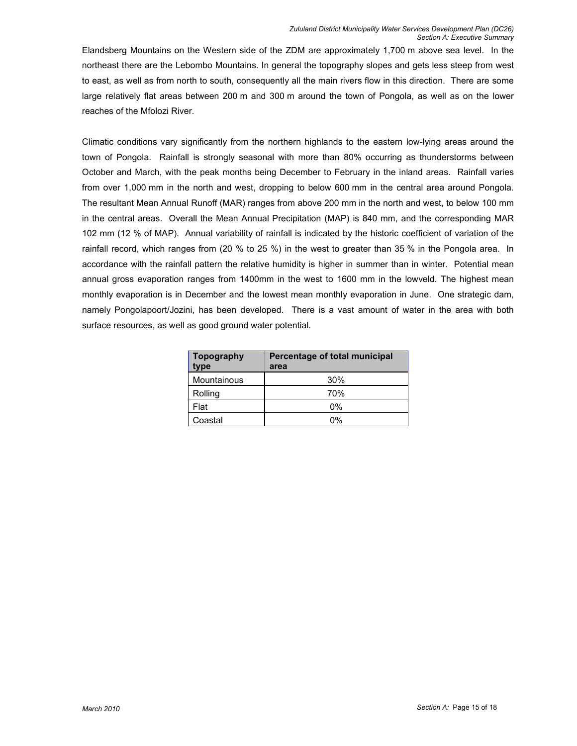Elandsberg Mountains on the Western side of the ZDM are approximately 1,700 m above sea level. In the northeast there are the Lebombo Mountains. In general the topography slopes and gets less steep from west to east, as well as from north to south, consequently all the main rivers flow in this direction. There are some large relatively flat areas between 200 m and 300 m around the town of Pongola, as well as on the lower reaches of the Mfolozi River.

Climatic conditions vary significantly from the northern highlands to the eastern low-lying areas around the town of Pongola. Rainfall is strongly seasonal with more than 80% occurring as thunderstorms between October and March, with the peak months being December to February in the inland areas. Rainfall varies from over 1,000 mm in the north and west, dropping to below 600 mm in the central area around Pongola. The resultant Mean Annual Runoff (MAR) ranges from above 200 mm in the north and west, to below 100 mm in the central areas. Overall the Mean Annual Precipitation (MAP) is 840 mm, and the corresponding MAR 102 mm (12 % of MAP). Annual variability of rainfall is indicated by the historic coefficient of variation of the rainfall record, which ranges from (20 % to 25 %) in the west to greater than 35 % in the Pongola area. In accordance with the rainfall pattern the relative humidity is higher in summer than in winter. Potential mean annual gross evaporation ranges from 1400mm in the west to 1600 mm in the lowveld. The highest mean monthly evaporation is in December and the lowest mean monthly evaporation in June. One strategic dam, namely Pongolapoort/Jozini, has been developed. There is a vast amount of water in the area with both surface resources, as well as good ground water potential.

| Topography<br>type | Percentage of total municipal<br>area |
|--------------------|---------------------------------------|
| Mountainous        | 30%                                   |
| Rolling            | 70%                                   |
| Flat               | 0%                                    |
| Coastal            | በ%                                    |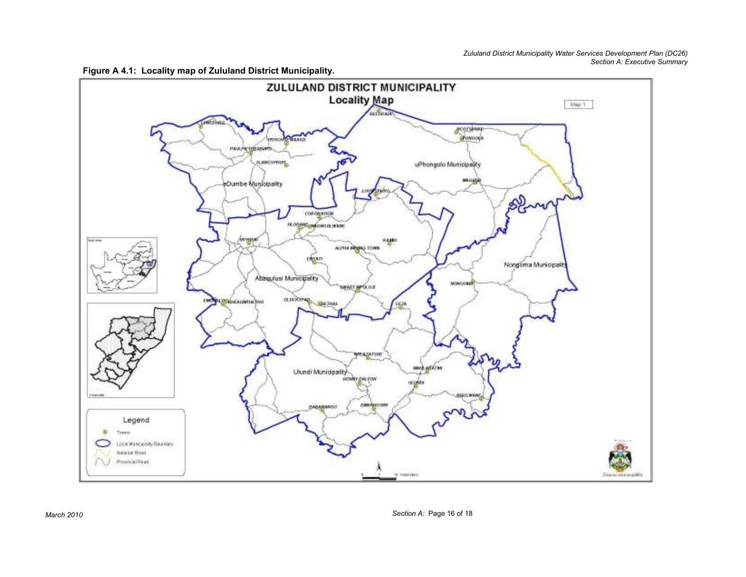

Figure A 4.1: Locality map of Zululand District Municipality.

March 2010 Section A: Page 16 of 18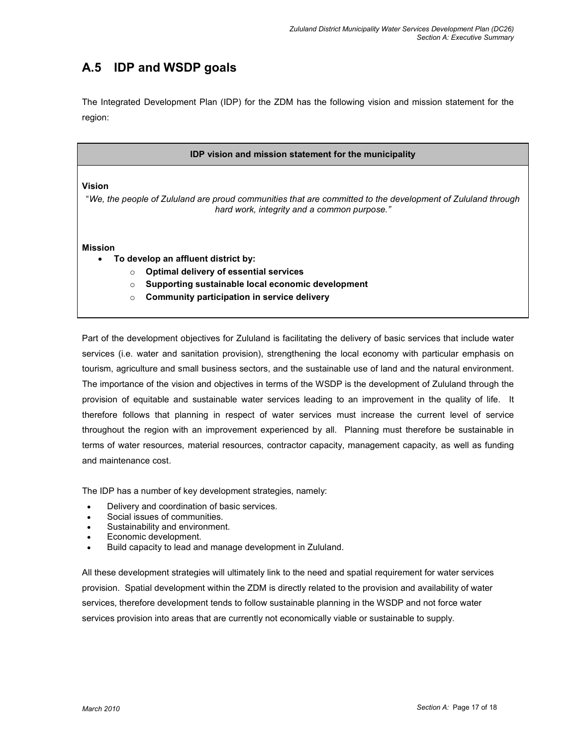# A.5 IDP and WSDP goals

The Integrated Development Plan (IDP) for the ZDM has the following vision and mission statement for the region:

#### IDP vision and mission statement for the municipality

#### Vision

"We, the people of Zululand are proud communities that are committed to the development of Zululand through hard work, integrity and a common purpose."

#### Mission

- To develop an affluent district by:
	- o Optimal delivery of essential services
	- o Supporting sustainable local economic development
	- $\circ$  Community participation in service delivery

Part of the development objectives for Zululand is facilitating the delivery of basic services that include water services (i.e. water and sanitation provision), strengthening the local economy with particular emphasis on tourism, agriculture and small business sectors, and the sustainable use of land and the natural environment. The importance of the vision and objectives in terms of the WSDP is the development of Zululand through the provision of equitable and sustainable water services leading to an improvement in the quality of life. It therefore follows that planning in respect of water services must increase the current level of service throughout the region with an improvement experienced by all. Planning must therefore be sustainable in terms of water resources, material resources, contractor capacity, management capacity, as well as funding and maintenance cost.

The IDP has a number of key development strategies, namely:

- Delivery and coordination of basic services.
- Social issues of communities.
- Sustainability and environment.
- Economic development.
- Build capacity to lead and manage development in Zululand.

All these development strategies will ultimately link to the need and spatial requirement for water services provision. Spatial development within the ZDM is directly related to the provision and availability of water services, therefore development tends to follow sustainable planning in the WSDP and not force water services provision into areas that are currently not economically viable or sustainable to supply.